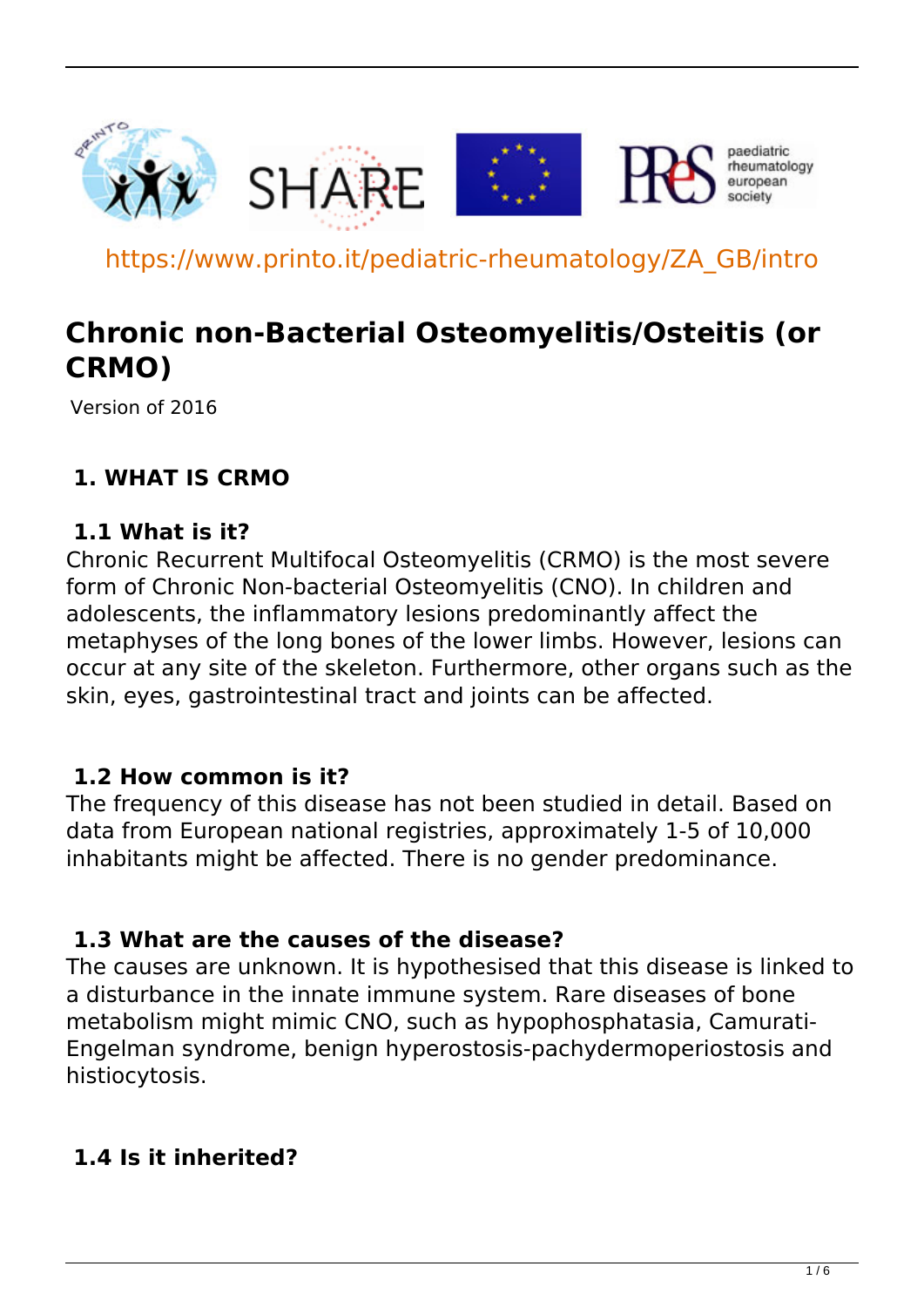

https://www.printo.it/pediatric-rheumatology/ZA\_GB/intro

# **Chronic non-Bacterial Osteomyelitis/Osteitis (or CRMO)**

Version of 2016

## **1. WHAT IS CRMO**

#### **1.1 What is it?**

Chronic Recurrent Multifocal Osteomyelitis (CRMO) is the most severe form of Chronic Non-bacterial Osteomyelitis (CNO). In children and adolescents, the inflammatory lesions predominantly affect the metaphyses of the long bones of the lower limbs. However, lesions can occur at any site of the skeleton. Furthermore, other organs such as the skin, eyes, gastrointestinal tract and joints can be affected.

#### **1.2 How common is it?**

The frequency of this disease has not been studied in detail. Based on data from European national registries, approximately 1-5 of 10,000 inhabitants might be affected. There is no gender predominance.

#### **1.3 What are the causes of the disease?**

The causes are unknown. It is hypothesised that this disease is linked to a disturbance in the innate immune system. Rare diseases of bone metabolism might mimic CNO, such as hypophosphatasia, Camurati-Engelman syndrome, benign hyperostosis-pachydermoperiostosis and histiocytosis.

#### **1.4 Is it inherited?**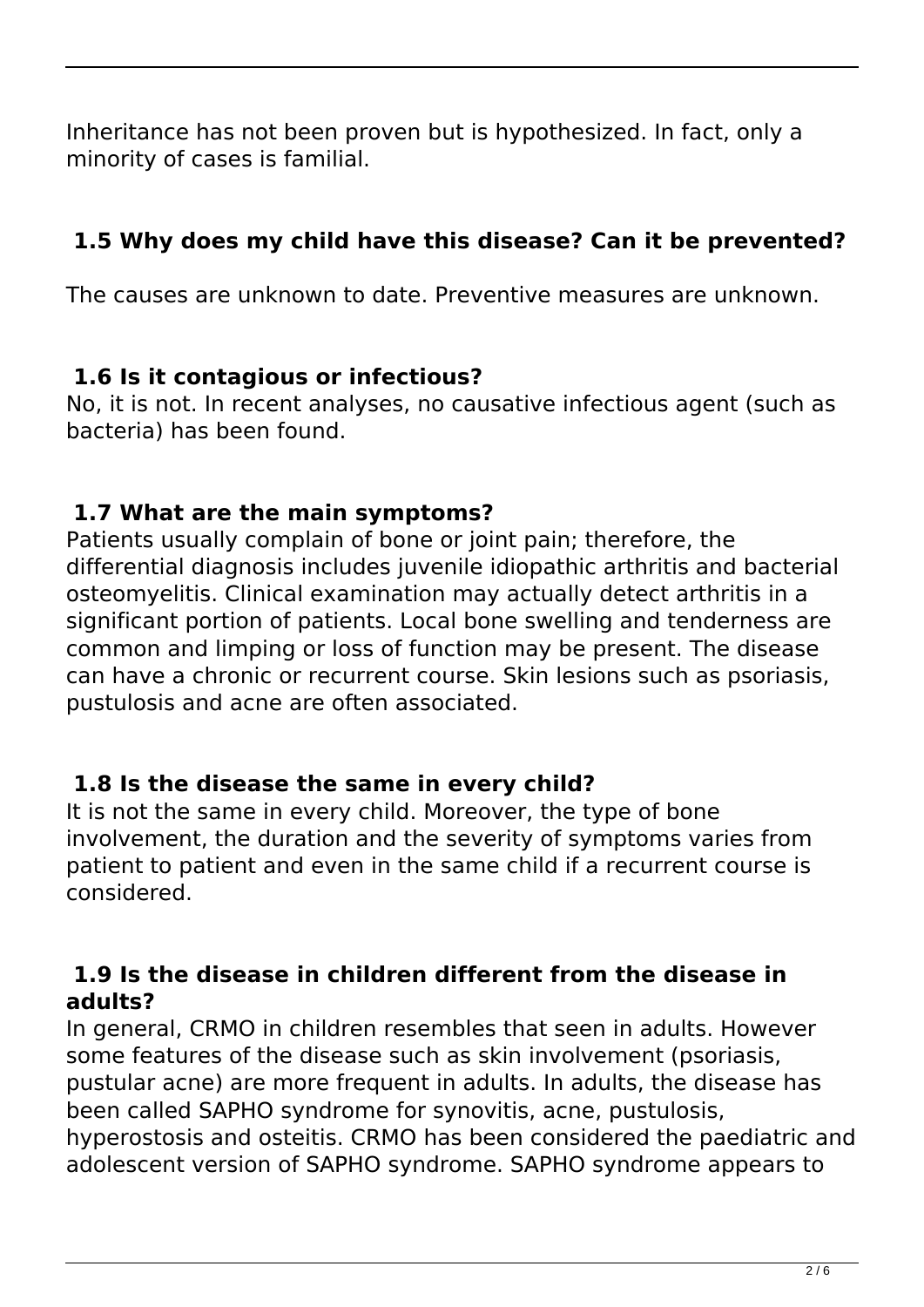Inheritance has not been proven but is hypothesized. In fact, only a minority of cases is familial.

## **1.5 Why does my child have this disease? Can it be prevented?**

The causes are unknown to date. Preventive measures are unknown.

## **1.6 Is it contagious or infectious?**

No, it is not. In recent analyses, no causative infectious agent (such as bacteria) has been found.

## **1.7 What are the main symptoms?**

Patients usually complain of bone or joint pain; therefore, the differential diagnosis includes juvenile idiopathic arthritis and bacterial osteomyelitis. Clinical examination may actually detect arthritis in a significant portion of patients. Local bone swelling and tenderness are common and limping or loss of function may be present. The disease can have a chronic or recurrent course. Skin lesions such as psoriasis, pustulosis and acne are often associated.

## **1.8 Is the disease the same in every child?**

It is not the same in every child. Moreover, the type of bone involvement, the duration and the severity of symptoms varies from patient to patient and even in the same child if a recurrent course is considered.

#### **1.9 Is the disease in children different from the disease in adults?**

In general, CRMO in children resembles that seen in adults. However some features of the disease such as skin involvement (psoriasis, pustular acne) are more frequent in adults. In adults, the disease has been called SAPHO syndrome for synovitis, acne, pustulosis, hyperostosis and osteitis. CRMO has been considered the paediatric and adolescent version of SAPHO syndrome. SAPHO syndrome appears to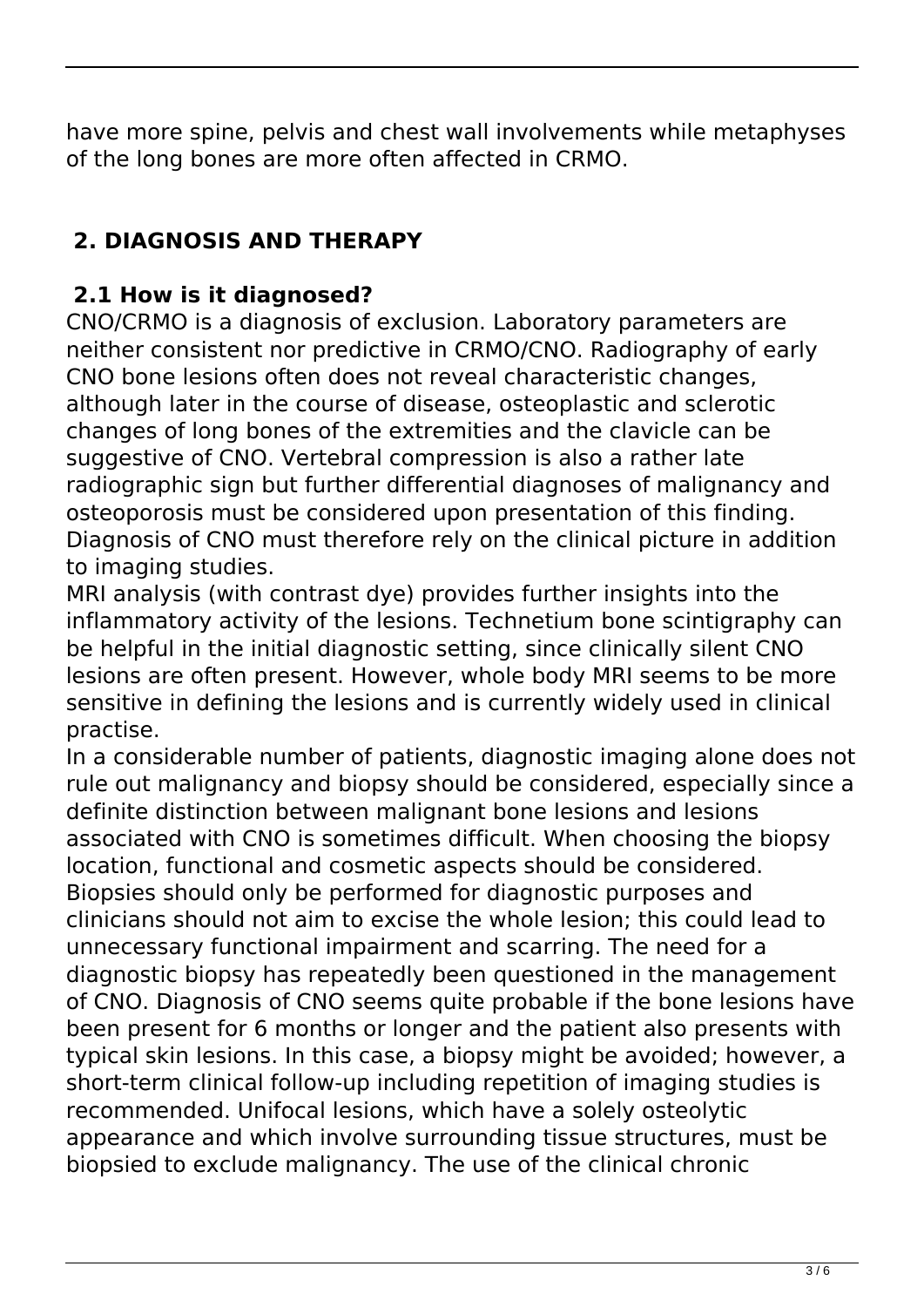have more spine, pelvis and chest wall involvements while metaphyses of the long bones are more often affected in CRMO.

## **2. DIAGNOSIS AND THERAPY**

## **2.1 How is it diagnosed?**

CNO/CRMO is a diagnosis of exclusion. Laboratory parameters are neither consistent nor predictive in CRMO/CNO. Radiography of early CNO bone lesions often does not reveal characteristic changes, although later in the course of disease, osteoplastic and sclerotic changes of long bones of the extremities and the clavicle can be suggestive of CNO. Vertebral compression is also a rather late radiographic sign but further differential diagnoses of malignancy and osteoporosis must be considered upon presentation of this finding. Diagnosis of CNO must therefore rely on the clinical picture in addition to imaging studies.

MRI analysis (with contrast dye) provides further insights into the inflammatory activity of the lesions. Technetium bone scintigraphy can be helpful in the initial diagnostic setting, since clinically silent CNO lesions are often present. However, whole body MRI seems to be more sensitive in defining the lesions and is currently widely used in clinical practise.

In a considerable number of patients, diagnostic imaging alone does not rule out malignancy and biopsy should be considered, especially since a definite distinction between malignant bone lesions and lesions associated with CNO is sometimes difficult. When choosing the biopsy location, functional and cosmetic aspects should be considered. Biopsies should only be performed for diagnostic purposes and clinicians should not aim to excise the whole lesion; this could lead to unnecessary functional impairment and scarring. The need for a diagnostic biopsy has repeatedly been questioned in the management of CNO. Diagnosis of CNO seems quite probable if the bone lesions have been present for 6 months or longer and the patient also presents with typical skin lesions. In this case, a biopsy might be avoided; however, a short-term clinical follow-up including repetition of imaging studies is recommended. Unifocal lesions, which have a solely osteolytic appearance and which involve surrounding tissue structures, must be biopsied to exclude malignancy. The use of the clinical chronic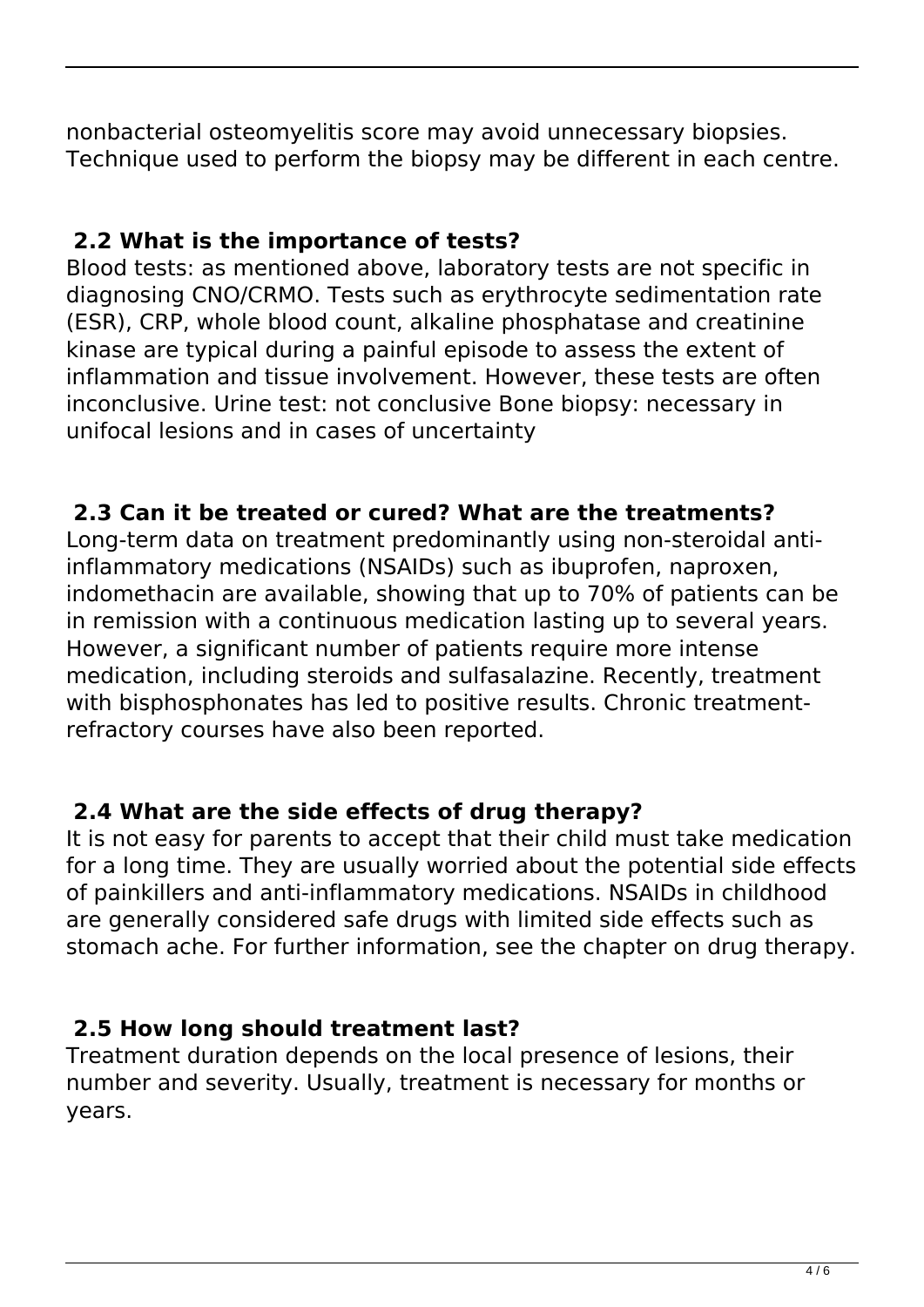nonbacterial osteomyelitis score may avoid unnecessary biopsies. Technique used to perform the biopsy may be different in each centre.

#### **2.2 What is the importance of tests?**

Blood tests: as mentioned above, laboratory tests are not specific in diagnosing CNO/CRMO. Tests such as erythrocyte sedimentation rate (ESR), CRP, whole blood count, alkaline phosphatase and creatinine kinase are typical during a painful episode to assess the extent of inflammation and tissue involvement. However, these tests are often inconclusive. Urine test: not conclusive Bone biopsy: necessary in unifocal lesions and in cases of uncertainty

## **2.3 Can it be treated or cured? What are the treatments?**

Long-term data on treatment predominantly using non-steroidal antiinflammatory medications (NSAIDs) such as ibuprofen, naproxen, indomethacin are available, showing that up to 70% of patients can be in remission with a continuous medication lasting up to several years. However, a significant number of patients require more intense medication, including steroids and sulfasalazine. Recently, treatment with bisphosphonates has led to positive results. Chronic treatmentrefractory courses have also been reported.

## **2.4 What are the side effects of drug therapy?**

It is not easy for parents to accept that their child must take medication for a long time. They are usually worried about the potential side effects of painkillers and anti-inflammatory medications. NSAIDs in childhood are generally considered safe drugs with limited side effects such as stomach ache. For further information, see the chapter on drug therapy.

## **2.5 How long should treatment last?**

Treatment duration depends on the local presence of lesions, their number and severity. Usually, treatment is necessary for months or years.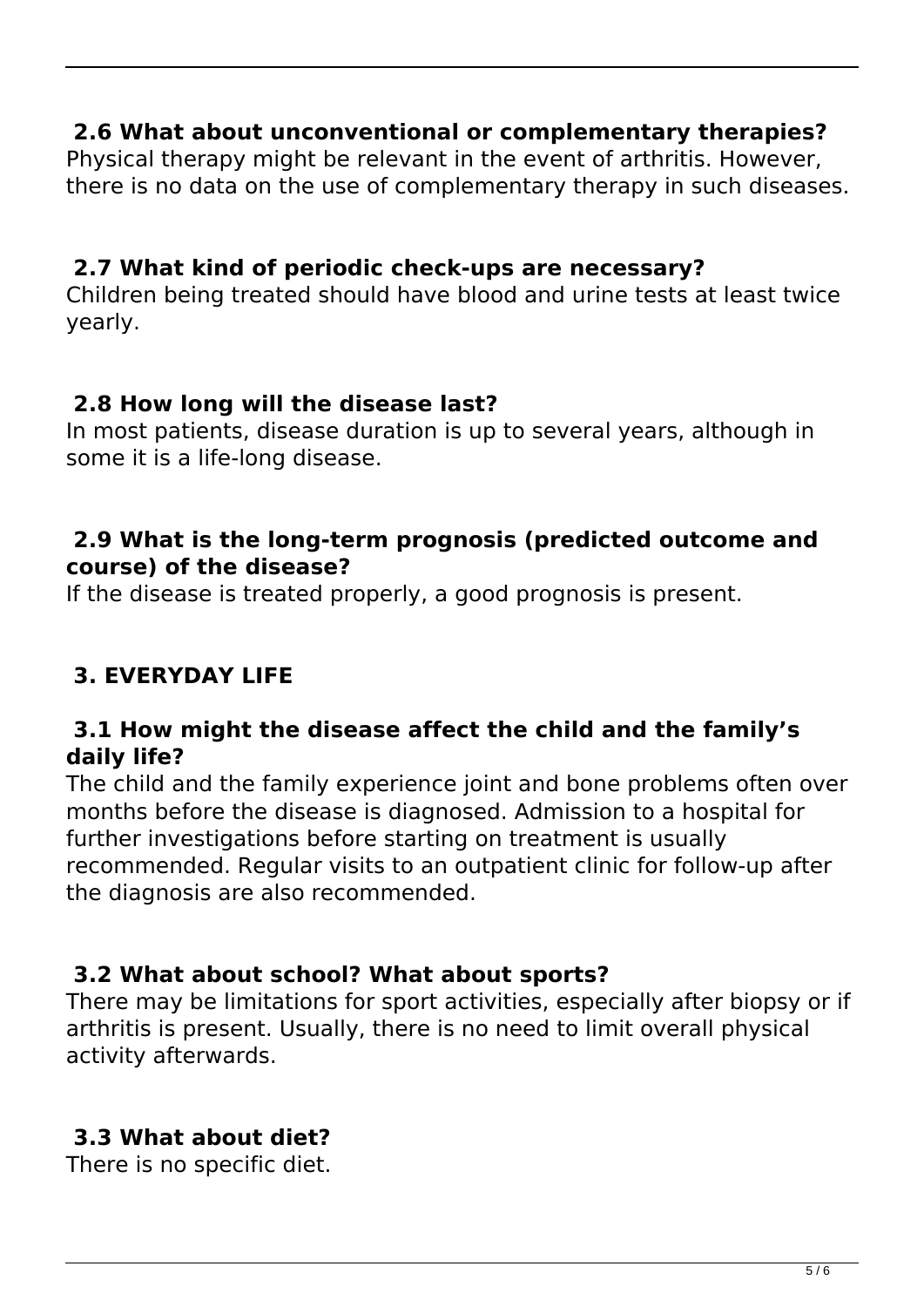#### **2.6 What about unconventional or complementary therapies?**

Physical therapy might be relevant in the event of arthritis. However, there is no data on the use of complementary therapy in such diseases.

#### **2.7 What kind of periodic check-ups are necessary?**

Children being treated should have blood and urine tests at least twice yearly.

#### **2.8 How long will the disease last?**

In most patients, disease duration is up to several years, although in some it is a life-long disease.

#### **2.9 What is the long-term prognosis (predicted outcome and course) of the disease?**

If the disease is treated properly, a good prognosis is present.

## **3. EVERYDAY LIFE**

#### **3.1 How might the disease affect the child and the family's daily life?**

The child and the family experience joint and bone problems often over months before the disease is diagnosed. Admission to a hospital for further investigations before starting on treatment is usually recommended. Regular visits to an outpatient clinic for follow-up after the diagnosis are also recommended.

#### **3.2 What about school? What about sports?**

There may be limitations for sport activities, especially after biopsy or if arthritis is present. Usually, there is no need to limit overall physical activity afterwards.

## **3.3 What about diet?**

There is no specific diet.